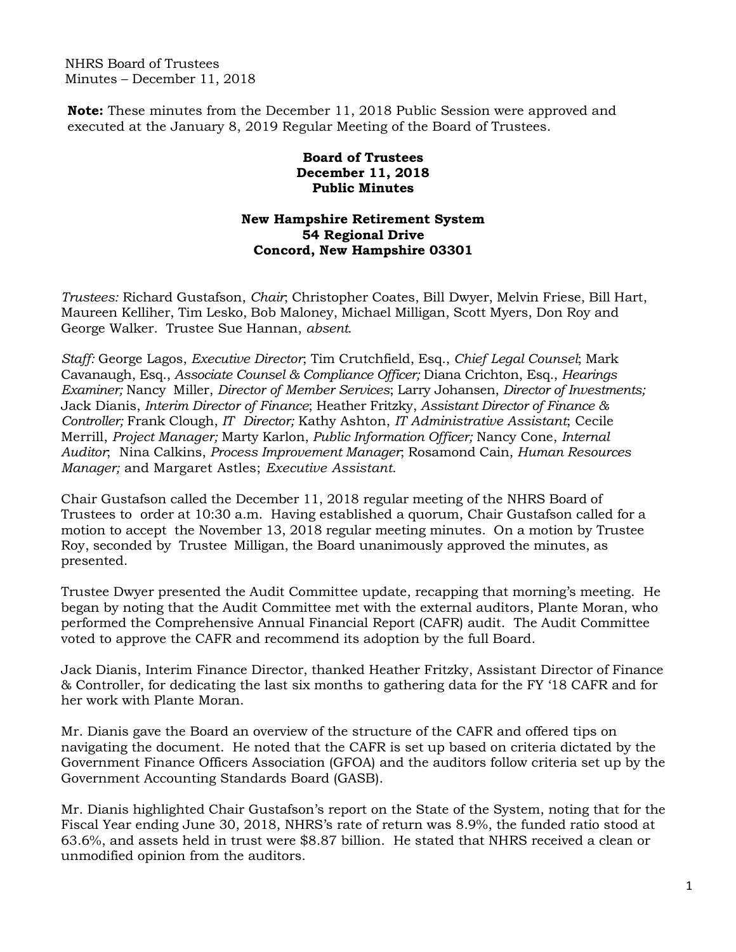NHRS Board of Trustees Minutes – December 11, 2018

**Note:** These minutes from the December 11, 2018 Public Session were approved and executed at the January 8, 2019 Regular Meeting of the Board of Trustees.

## **Board of Trustees December 11, 2018 Public Minutes**

## **New Hampshire Retirement System 54 Regional Drive Concord, New Hampshire 03301**

*Trustees:* Richard Gustafson, *Chair*; Christopher Coates, Bill Dwyer, Melvin Friese, Bill Hart, Maureen Kelliher, Tim Lesko, Bob Maloney, Michael Milligan, Scott Myers, Don Roy and George Walker. Trustee Sue Hannan, *absent*.

*Staff:* George Lagos, *Executive Director*; Tim Crutchfield, Esq., *Chief Legal Counsel*; Mark Cavanaugh, Esq., *Associate Counsel & Compliance Officer;* Diana Crichton, Esq., *Hearings Examiner;* Nancy Miller, *Director of Member Services*; Larry Johansen, *Director of Investments;* Jack Dianis, *Interim Director of Finance*; Heather Fritzky, *Assistant Director of Finance & Controller;* Frank Clough, *IT Director;* Kathy Ashton, *IT Administrative Assistant*; Cecile Merrill, *Project Manager;* Marty Karlon, *Public Information Officer;* Nancy Cone, *Internal Auditor*; Nina Calkins, *Process Improvement Manager*; Rosamond Cain, *Human Resources Manager;* and Margaret Astles; *Executive Assistant*.

Chair Gustafson called the December 11, 2018 regular meeting of the NHRS Board of Trustees to order at 10:30 a.m. Having established a quorum, Chair Gustafson called for a motion to accept the November 13, 2018 regular meeting minutes. On a motion by Trustee Roy, seconded by Trustee Milligan, the Board unanimously approved the minutes, as presented.

Trustee Dwyer presented the Audit Committee update, recapping that morning's meeting. He began by noting that the Audit Committee met with the external auditors, Plante Moran, who performed the Comprehensive Annual Financial Report (CAFR) audit. The Audit Committee voted to approve the CAFR and recommend its adoption by the full Board.

Jack Dianis, Interim Finance Director, thanked Heather Fritzky, Assistant Director of Finance & Controller, for dedicating the last six months to gathering data for the FY '18 CAFR and for her work with Plante Moran.

Mr. Dianis gave the Board an overview of the structure of the CAFR and offered tips on navigating the document. He noted that the CAFR is set up based on criteria dictated by the Government Finance Officers Association (GFOA) and the auditors follow criteria set up by the Government Accounting Standards Board (GASB).

Mr. Dianis highlighted Chair Gustafson's report on the State of the System, noting that for the Fiscal Year ending June 30, 2018, NHRS's rate of return was 8.9%, the funded ratio stood at 63.6%, and assets held in trust were \$8.87 billion. He stated that NHRS received a clean or unmodified opinion from the auditors.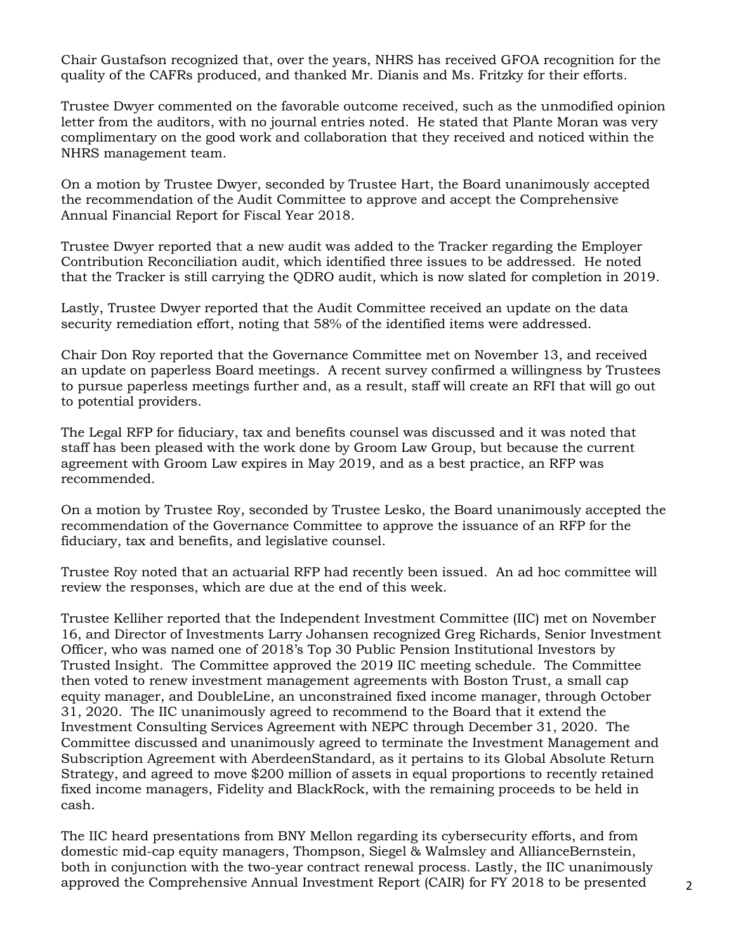Chair Gustafson recognized that, over the years, NHRS has received GFOA recognition for the quality of the CAFRs produced, and thanked Mr. Dianis and Ms. Fritzky for their efforts.

Trustee Dwyer commented on the favorable outcome received, such as the unmodified opinion letter from the auditors, with no journal entries noted. He stated that Plante Moran was very complimentary on the good work and collaboration that they received and noticed within the NHRS management team.

On a motion by Trustee Dwyer, seconded by Trustee Hart, the Board unanimously accepted the recommendation of the Audit Committee to approve and accept the Comprehensive Annual Financial Report for Fiscal Year 2018.

Trustee Dwyer reported that a new audit was added to the Tracker regarding the Employer Contribution Reconciliation audit, which identified three issues to be addressed. He noted that the Tracker is still carrying the QDRO audit, which is now slated for completion in 2019.

Lastly, Trustee Dwyer reported that the Audit Committee received an update on the data security remediation effort, noting that 58% of the identified items were addressed.

Chair Don Roy reported that the Governance Committee met on November 13, and received an update on paperless Board meetings. A recent survey confirmed a willingness by Trustees to pursue paperless meetings further and, as a result, staff will create an RFI that will go out to potential providers.

The Legal RFP for fiduciary, tax and benefits counsel was discussed and it was noted that staff has been pleased with the work done by Groom Law Group, but because the current agreement with Groom Law expires in May 2019, and as a best practice, an RFP was recommended.

On a motion by Trustee Roy, seconded by Trustee Lesko, the Board unanimously accepted the recommendation of the Governance Committee to approve the issuance of an RFP for the fiduciary, tax and benefits, and legislative counsel.

Trustee Roy noted that an actuarial RFP had recently been issued. An ad hoc committee will review the responses, which are due at the end of this week.

Trustee Kelliher reported that the Independent Investment Committee (IIC) met on November 16, and Director of Investments Larry Johansen recognized Greg Richards, Senior Investment Officer, who was named one of 2018's Top 30 Public Pension Institutional Investors by Trusted Insight. The Committee approved the 2019 IIC meeting schedule. The Committee then voted to renew investment management agreements with Boston Trust, a small cap equity manager, and DoubleLine, an unconstrained fixed income manager, through October 31, 2020. The IIC unanimously agreed to recommend to the Board that it extend the Investment Consulting Services Agreement with NEPC through December 31, 2020. The Committee discussed and unanimously agreed to terminate the Investment Management and Subscription Agreement with AberdeenStandard, as it pertains to its Global Absolute Return Strategy, and agreed to move \$200 million of assets in equal proportions to recently retained fixed income managers, Fidelity and BlackRock, with the remaining proceeds to be held in cash.

The IIC heard presentations from BNY Mellon regarding its cybersecurity efforts, and from domestic mid-cap equity managers, Thompson, Siegel & Walmsley and AllianceBernstein, both in conjunction with the two-year contract renewal process. Lastly, the IIC unanimously approved the Comprehensive Annual Investment Report (CAIR) for FY 2018 to be presented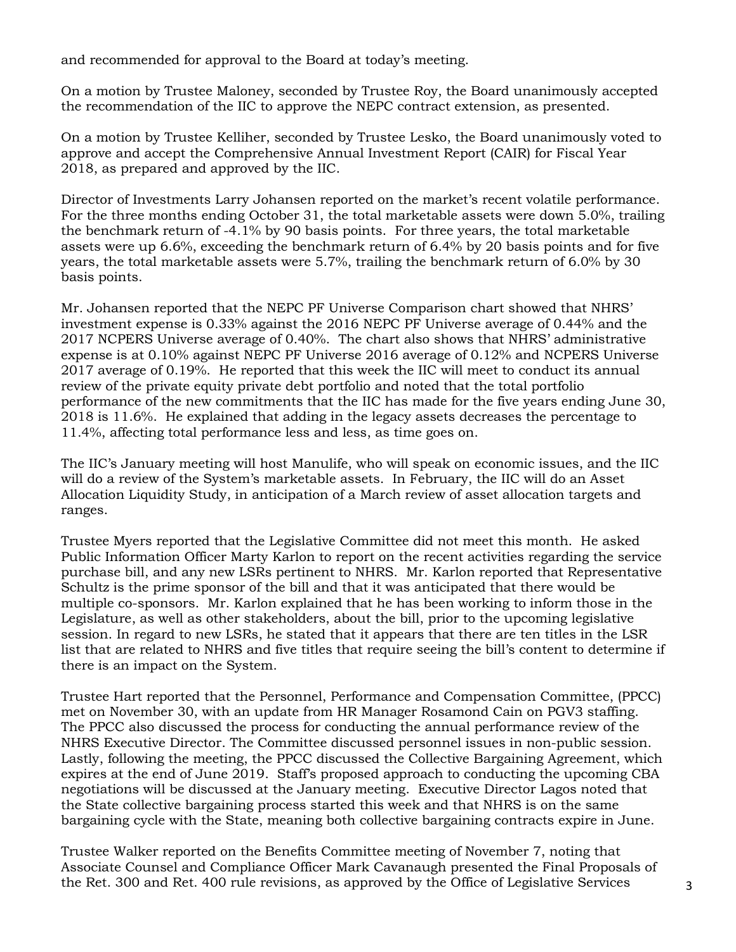and recommended for approval to the Board at today's meeting.

On a motion by Trustee Maloney, seconded by Trustee Roy, the Board unanimously accepted the recommendation of the IIC to approve the NEPC contract extension, as presented.

On a motion by Trustee Kelliher, seconded by Trustee Lesko, the Board unanimously voted to approve and accept the Comprehensive Annual Investment Report (CAIR) for Fiscal Year 2018, as prepared and approved by the IIC.

Director of Investments Larry Johansen reported on the market's recent volatile performance. For the three months ending October 31, the total marketable assets were down 5.0%, trailing the benchmark return of -4.1% by 90 basis points. For three years, the total marketable assets were up 6.6%, exceeding the benchmark return of 6.4% by 20 basis points and for five years, the total marketable assets were 5.7%, trailing the benchmark return of 6.0% by 30 basis points.

Mr. Johansen reported that the NEPC PF Universe Comparison chart showed that NHRS' investment expense is 0.33% against the 2016 NEPC PF Universe average of 0.44% and the 2017 NCPERS Universe average of 0.40%. The chart also shows that NHRS' administrative expense is at 0.10% against NEPC PF Universe 2016 average of 0.12% and NCPERS Universe 2017 average of 0.19%. He reported that this week the IIC will meet to conduct its annual review of the private equity private debt portfolio and noted that the total portfolio performance of the new commitments that the IIC has made for the five years ending June 30, 2018 is 11.6%. He explained that adding in the legacy assets decreases the percentage to 11.4%, affecting total performance less and less, as time goes on.

The IIC's January meeting will host Manulife, who will speak on economic issues, and the IIC will do a review of the System's marketable assets. In February, the IIC will do an Asset Allocation Liquidity Study, in anticipation of a March review of asset allocation targets and ranges.

Trustee Myers reported that the Legislative Committee did not meet this month. He asked Public Information Officer Marty Karlon to report on the recent activities regarding the service purchase bill, and any new LSRs pertinent to NHRS. Mr. Karlon reported that Representative Schultz is the prime sponsor of the bill and that it was anticipated that there would be multiple co-sponsors. Mr. Karlon explained that he has been working to inform those in the Legislature, as well as other stakeholders, about the bill, prior to the upcoming legislative session. In regard to new LSRs, he stated that it appears that there are ten titles in the LSR list that are related to NHRS and five titles that require seeing the bill's content to determine if there is an impact on the System.

Trustee Hart reported that the Personnel, Performance and Compensation Committee, (PPCC) met on November 30, with an update from HR Manager Rosamond Cain on PGV3 staffing. The PPCC also discussed the process for conducting the annual performance review of the NHRS Executive Director. The Committee discussed personnel issues in non-public session. Lastly, following the meeting, the PPCC discussed the Collective Bargaining Agreement, which expires at the end of June 2019. Staff's proposed approach to conducting the upcoming CBA negotiations will be discussed at the January meeting. Executive Director Lagos noted that the State collective bargaining process started this week and that NHRS is on the same bargaining cycle with the State, meaning both collective bargaining contracts expire in June.

Trustee Walker reported on the Benefits Committee meeting of November 7, noting that Associate Counsel and Compliance Officer Mark Cavanaugh presented the Final Proposals of the Ret. 300 and Ret. 400 rule revisions, as approved by the Office of Legislative Services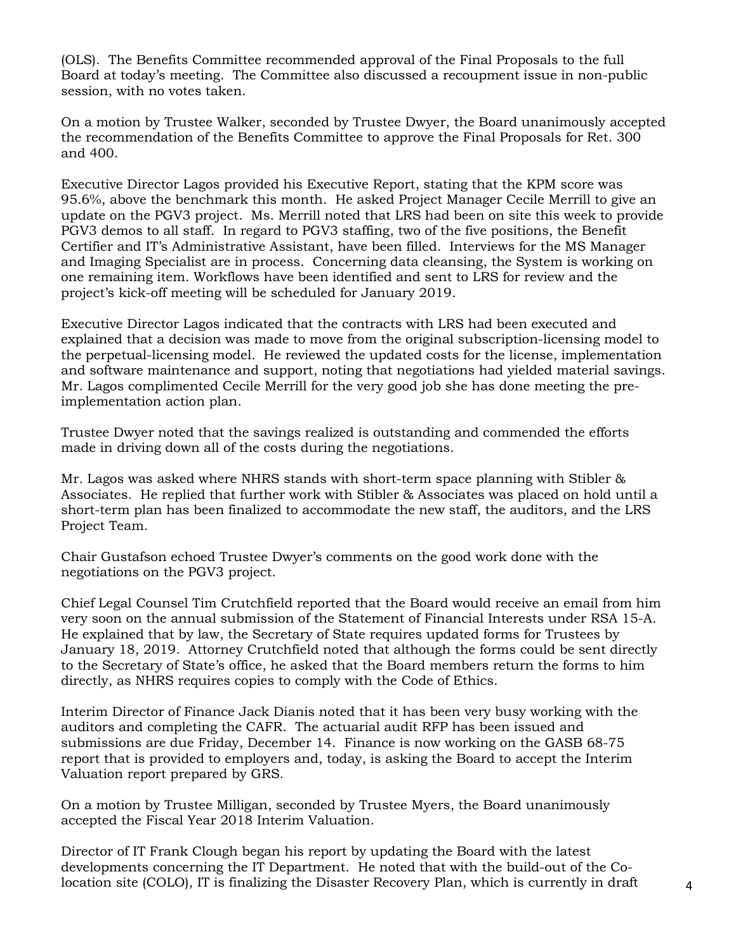(OLS). The Benefits Committee recommended approval of the Final Proposals to the full Board at today's meeting. The Committee also discussed a recoupment issue in non-public session, with no votes taken.

On a motion by Trustee Walker, seconded by Trustee Dwyer, the Board unanimously accepted the recommendation of the Benefits Committee to approve the Final Proposals for Ret. 300 and 400.

Executive Director Lagos provided his Executive Report, stating that the KPM score was 95.6%, above the benchmark this month. He asked Project Manager Cecile Merrill to give an update on the PGV3 project. Ms. Merrill noted that LRS had been on site this week to provide PGV3 demos to all staff. In regard to PGV3 staffing, two of the five positions, the Benefit Certifier and IT's Administrative Assistant, have been filled. Interviews for the MS Manager and Imaging Specialist are in process. Concerning data cleansing, the System is working on one remaining item. Workflows have been identified and sent to LRS for review and the project's kick-off meeting will be scheduled for January 2019.

Executive Director Lagos indicated that the contracts with LRS had been executed and explained that a decision was made to move from the original subscription-licensing model to the perpetual-licensing model. He reviewed the updated costs for the license, implementation and software maintenance and support, noting that negotiations had yielded material savings. Mr. Lagos complimented Cecile Merrill for the very good job she has done meeting the preimplementation action plan.

Trustee Dwyer noted that the savings realized is outstanding and commended the efforts made in driving down all of the costs during the negotiations.

Mr. Lagos was asked where NHRS stands with short-term space planning with Stibler & Associates. He replied that further work with Stibler & Associates was placed on hold until a short-term plan has been finalized to accommodate the new staff, the auditors, and the LRS Project Team.

Chair Gustafson echoed Trustee Dwyer's comments on the good work done with the negotiations on the PGV3 project.

Chief Legal Counsel Tim Crutchfield reported that the Board would receive an email from him very soon on the annual submission of the Statement of Financial Interests under RSA 15-A. He explained that by law, the Secretary of State requires updated forms for Trustees by January 18, 2019. Attorney Crutchfield noted that although the forms could be sent directly to the Secretary of State's office, he asked that the Board members return the forms to him directly, as NHRS requires copies to comply with the Code of Ethics.

Interim Director of Finance Jack Dianis noted that it has been very busy working with the auditors and completing the CAFR. The actuarial audit RFP has been issued and submissions are due Friday, December 14. Finance is now working on the GASB 68-75 report that is provided to employers and, today, is asking the Board to accept the Interim Valuation report prepared by GRS.

On a motion by Trustee Milligan, seconded by Trustee Myers, the Board unanimously accepted the Fiscal Year 2018 Interim Valuation.

Director of IT Frank Clough began his report by updating the Board with the latest developments concerning the IT Department. He noted that with the build-out of the Colocation site (COLO), IT is finalizing the Disaster Recovery Plan, which is currently in draft